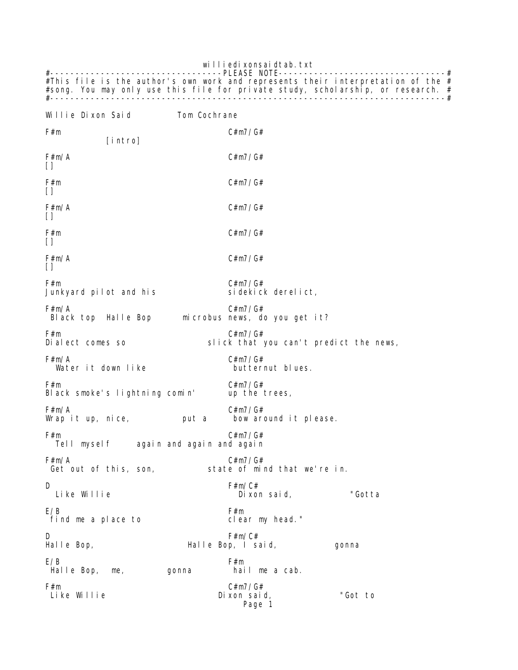williedi xonsaidtab.txt #----------------------------------PLEASE NOTE---------------------------------# #This file is the author's own work and represents their interpretation of the  $#$ #song. You may only use this file for private study, scholarship, or research. # #------------------------------------------------------------------------------#

Willie Dixon Said Tom Cochrane F#m C#m7/G# [intro]  $F \# m / A$  C#m7/G#  $\Box$  $F \# m$   $C \# m7 / G \#$  $\Box$  $F \# m / A$  C#m7/G#  $\Box$ F#m C#m7/G#  $\Box$  $F \# m / A$  C#m7/G#  $\Box$ F#m C#m7/G# Junkyard pilot and his  $F \# m / A$  C#m7/G# Black top Halle Bop microbus news, do you get it? F#m C#m7/G#<br>Dialect comes so slick that slick that you can't predict the news, F#m/A<br>Wateritdownlike butternut blues. Water it down like  $F#m$  C#m7/G#<br>Black smoke's lightning comin' up the trees, Black smoke's lightning comin' F#m/A C#m7/G# Wrap it up, nice,  $\rho$ F#m C#m7/G# again and again and again F#m/A C#m7/G# state of mind that we're in. D F#m/C# Dixon said, "Gotta  $E/B$  F#m find me a place to clear my head." D F#m/C# Halle Bop, I said, gonna  $E/B$  F#m Halle Bop, me, gonna hail me a cab. F#m C#m7/G# Dixon said, "Got to Page 1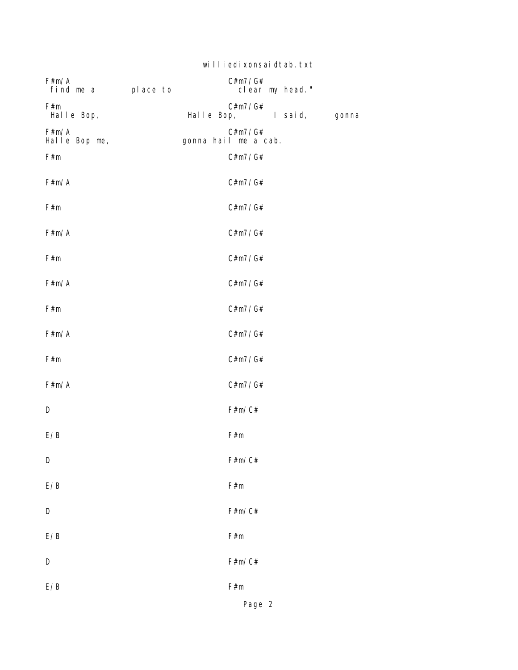|                             | williedi xonsai dtab. txt |                                       |  |  |  |
|-----------------------------|---------------------------|---------------------------------------|--|--|--|
| F#m/A<br>find me a place to |                           | C#m7/G#<br>clear my head."            |  |  |  |
| F#m<br>Halle Bop,           |                           | C#m7/G#<br>Halle Bop, Isaid,<br>gonna |  |  |  |
| F#m/A<br>Halle Bop me,      |                           | C#m7/G#<br>gonna hail me a cab.       |  |  |  |
| F#m                         |                           | C#m7/G#                               |  |  |  |
| F#m/A                       |                           | C#m7/G#                               |  |  |  |
| F#m                         |                           | C#m7/G#                               |  |  |  |
| F#m/A                       |                           | C#m7/G#                               |  |  |  |
| F#m                         |                           | C#m7/G#                               |  |  |  |
| F#m/A                       |                           | C#m7/G#                               |  |  |  |
| F#m                         |                           | C#m7/G#                               |  |  |  |
| F#m/A                       |                           | C#m7/G#                               |  |  |  |
| F#m                         |                           | C#m7/G#                               |  |  |  |
| F#m/A                       |                           | C#m7/G#                               |  |  |  |
| D                           |                           | F#m/C#                                |  |  |  |
| E/B                         |                           | F#m                                   |  |  |  |
| D                           |                           | F#m/C#                                |  |  |  |
| E/B                         |                           | F#m                                   |  |  |  |
| D                           |                           | F#m/C#                                |  |  |  |
| E/B                         |                           | F#m                                   |  |  |  |
| D                           |                           | F#m/C#                                |  |  |  |
| E/B                         |                           | F#m                                   |  |  |  |
|                             |                           | Page 2                                |  |  |  |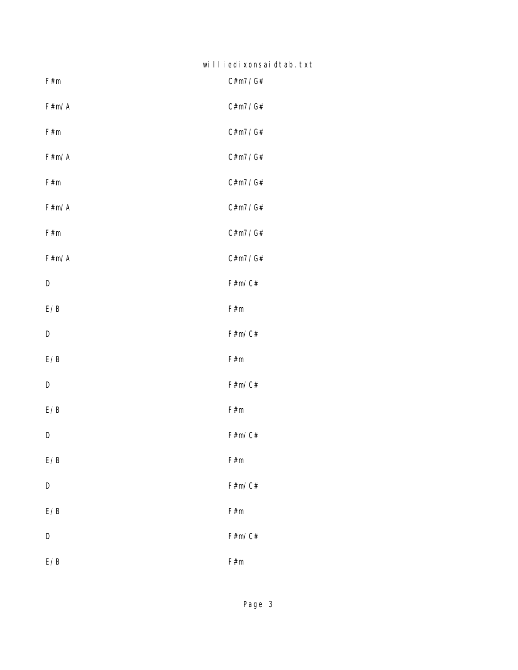| williedi xonsai dtab. txt |  |  |  |  |  |  |  |
|---------------------------|--|--|--|--|--|--|--|
|---------------------------|--|--|--|--|--|--|--|

| F#m   | C#m7/G# |
|-------|---------|
| F#m/A | C#m7/G# |
| F#m   | C#m7/G# |
| F#m/A | C#m7/G# |
| F#m   | C#m7/G# |
| F#m/A | C#m7/G# |
| F#m   | C#m7/G# |
| F#m/A | C#m7/G# |
| D     | F#m/C#  |
| E/B   | F#m     |
| D     | F#m/C#  |
| E/B   | F#m     |
| D     | F#m/C#  |
| E/B   | F#m     |
| D     | F#m/C#  |
| E/B   | F#m     |
| D     | F#m/C#  |
| E/B   | F#m     |
| D     | F#m/C#  |
| E/B   | F#m     |